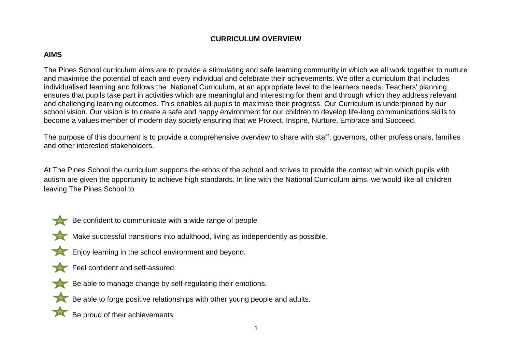# **CURRICULUM OVERVIEW**

## **AIMS**

The Pines School curriculum aims are to provide a stimulating and safe learning community in which we all work together to nurture and maximise the potential of each and every individual and celebrate their achievements. We offer a curriculum that includes individualised learning and follows the National Curriculum, at an appropriate level to the learners needs. Teachers' planning ensures that pupils take part in activities which are meaningful and interesting for them and through which they address relevant and challenging learning outcomes. This enables all pupils to maximise their progress. Our Curriculum is underpinned by our school vision. Our vision is to create a safe and happy environment for our children to develop life-long communications skills to become a values member of modern day society ensuring that we Protect, Inspire, Nurture, Embrace and Succeed.

The purpose of this document is to provide a comprehensive overview to share with staff, governors, other professionals, families and other interested stakeholders.

At The Pines School the curriculum supports the ethos of the school and strives to provide the context within which pupils with autism are given the opportunity to achieve high standards. In line with the National Curriculum aims, we would like all children leaving The Pines School to



Be confident to communicate with a wide range of people.



Make successful transitions into adulthood, living as independently as possible.

- **Enjoy learning in the school environment and beyond.**
- Feel confident and self-assured.
- Be able to manage change by self-regulating their emotions.



Be proud of their achievements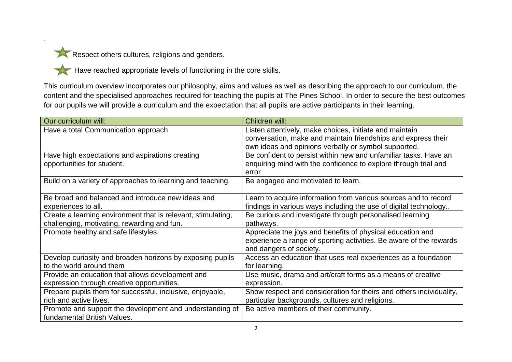.

Respect others cultures, religions and genders.

Have reached appropriate levels of functioning in the core skills.

This curriculum overview incorporates our philosophy, aims and values as well as describing the approach to our curriculum, the content and the specialised approaches required for teaching the pupils at The Pines School. In order to secure the best outcomes for our pupils we will provide a curriculum and the expectation that all pupils are active participants in their learning.

| Our curriculum will:                                         | Children will:                                                      |
|--------------------------------------------------------------|---------------------------------------------------------------------|
| Have a total Communication approach                          | Listen attentively, make choices, initiate and maintain             |
|                                                              | conversation, make and maintain friendships and express their       |
|                                                              | own ideas and opinions verbally or symbol supported.                |
| Have high expectations and aspirations creating              | Be confident to persist within new and unfamiliar tasks. Have an    |
| opportunities for student.                                   | enquiring mind with the confidence to explore through trial and     |
|                                                              | error                                                               |
| Build on a variety of approaches to learning and teaching.   | Be engaged and motivated to learn.                                  |
|                                                              |                                                                     |
| Be broad and balanced and introduce new ideas and            | Learn to acquire information from various sources and to record     |
| experiences to all.                                          | findings in various ways including the use of digital technology    |
| Create a learning environment that is relevant, stimulating, | Be curious and investigate through personalised learning            |
| challenging, motivating, rewarding and fun.                  | pathways.                                                           |
| Promote healthy and safe lifestyles                          | Appreciate the joys and benefits of physical education and          |
|                                                              | experience a range of sporting activities. Be aware of the rewards  |
|                                                              | and dangers of society.                                             |
| Develop curiosity and broaden horizons by exposing pupils    | Access an education that uses real experiences as a foundation      |
| to the world around them                                     | for learning.                                                       |
| Provide an education that allows development and             | Use music, drama and art/craft forms as a means of creative         |
| expression through creative opportunities.                   | expression.                                                         |
| Prepare pupils them for successful, inclusive, enjoyable,    | Show respect and consideration for theirs and others individuality, |
| rich and active lives.                                       | particular backgrounds, cultures and religions.                     |
| Promote and support the development and understanding of     | Be active members of their community.                               |
| fundamental British Values.                                  |                                                                     |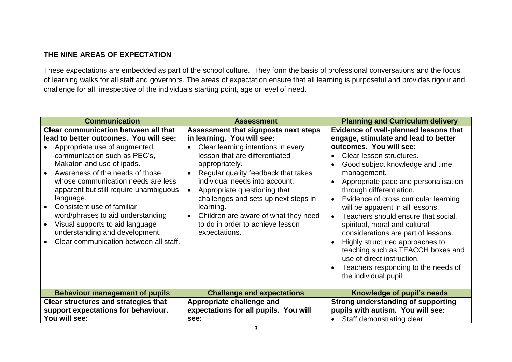# **THE NINE AREAS OF EXPECTATION**

These expectations are embedded as part of the school culture. They form the basis of professional conversations and the focus of learning walks for all staff and governors. The areas of expectation ensure that all learning is purposeful and provides rigour and challenge for all, irrespective of the individuals starting point, age or level of need.

| <b>Communication</b>                                                                                                                                                                                                                                                                                                                                                                                                                                                                                 | <b>Assessment</b>                                                                                                                                                                                                                                                                                                                                                                                                                    | <b>Planning and Curriculum delivery</b>                                                                                                                                                                                                                                                                                                                                                                                                                                                                                                                                                                                      |  |
|------------------------------------------------------------------------------------------------------------------------------------------------------------------------------------------------------------------------------------------------------------------------------------------------------------------------------------------------------------------------------------------------------------------------------------------------------------------------------------------------------|--------------------------------------------------------------------------------------------------------------------------------------------------------------------------------------------------------------------------------------------------------------------------------------------------------------------------------------------------------------------------------------------------------------------------------------|------------------------------------------------------------------------------------------------------------------------------------------------------------------------------------------------------------------------------------------------------------------------------------------------------------------------------------------------------------------------------------------------------------------------------------------------------------------------------------------------------------------------------------------------------------------------------------------------------------------------------|--|
| <b>Clear communication between all that</b><br>lead to better outcomes. You will see:<br>Appropriate use of augmented<br>communication such as PEC's,<br>Makaton and use of ipads.<br>Awareness of the needs of those<br>whose communication needs are less<br>apparent but still require unambiguous<br>language.<br>Consistent use of familiar<br>word/phrases to aid understanding<br>Visual supports to aid language<br>understanding and development.<br>Clear communication between all staff. | Assessment that signposts next steps<br>in learning. You will see:<br>Clear learning intentions in every<br>lesson that are differentiated<br>appropriately.<br>Regular quality feedback that takes<br>individual needs into account.<br>Appropriate questioning that<br>challenges and sets up next steps in<br>learning.<br>Children are aware of what they need<br>$\bullet$<br>to do in order to achieve lesson<br>expectations. | Evidence of well-planned lessons that<br>engage, stimulate and lead to better<br>outcomes. You will see:<br>Clear lesson structures.<br>Good subject knowledge and time<br>management.<br>Appropriate pace and personalisation<br>through differentiation.<br>Evidence of cross curricular learning<br>will be apparent in all lessons.<br>Teachers should ensure that social,<br>spiritual, moral and cultural<br>considerations are part of lessons.<br>Highly structured approaches to<br>teaching such as TEACCH boxes and<br>use of direct instruction.<br>Teachers responding to the needs of<br>the individual pupil. |  |
| <b>Behaviour management of pupils</b>                                                                                                                                                                                                                                                                                                                                                                                                                                                                | <b>Challenge and expectations</b>                                                                                                                                                                                                                                                                                                                                                                                                    | Knowledge of pupil's needs                                                                                                                                                                                                                                                                                                                                                                                                                                                                                                                                                                                                   |  |
| <b>Clear structures and strategies that</b><br>support expectations for behaviour.<br>You will see:                                                                                                                                                                                                                                                                                                                                                                                                  | Appropriate challenge and<br>expectations for all pupils. You will<br>see:                                                                                                                                                                                                                                                                                                                                                           | <b>Strong understanding of supporting</b><br>pupils with autism. You will see:<br>Staff demonstrating clear                                                                                                                                                                                                                                                                                                                                                                                                                                                                                                                  |  |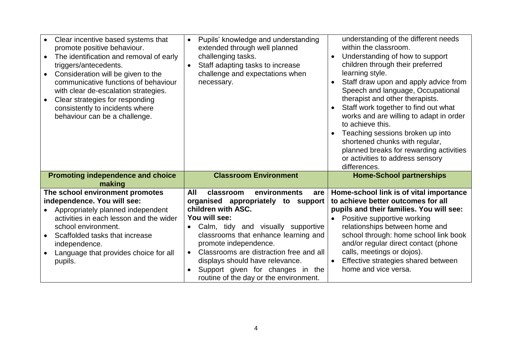| Clear incentive based systems that<br>promote positive behaviour.<br>The identification and removal of early<br>triggers/antecedents.<br>Consideration will be given to the<br>communicative functions of behaviour<br>with clear de-escalation strategies.<br>Clear strategies for responding<br>consistently to incidents where<br>behaviour can be a challenge. | Pupils' knowledge and understanding<br>$\bullet$<br>extended through well planned<br>challenging tasks.<br>Staff adapting tasks to increase<br>$\bullet$<br>challenge and expectations when<br>necessary. | understanding of the different needs<br>within the classroom.<br>Understanding of how to support<br>$\bullet$<br>children through their preferred<br>learning style.<br>Staff draw upon and apply advice from<br>$\bullet$<br>Speech and language, Occupational<br>therapist and other therapists.<br>Staff work together to find out what<br>works and are willing to adapt in order<br>to achieve this.<br>Teaching sessions broken up into<br>shortened chunks with regular,<br>planned breaks for rewarding activities<br>or activities to address sensory |  |
|--------------------------------------------------------------------------------------------------------------------------------------------------------------------------------------------------------------------------------------------------------------------------------------------------------------------------------------------------------------------|-----------------------------------------------------------------------------------------------------------------------------------------------------------------------------------------------------------|----------------------------------------------------------------------------------------------------------------------------------------------------------------------------------------------------------------------------------------------------------------------------------------------------------------------------------------------------------------------------------------------------------------------------------------------------------------------------------------------------------------------------------------------------------------|--|
| <b>Promoting independence and choice</b>                                                                                                                                                                                                                                                                                                                           | <b>Classroom Environment</b>                                                                                                                                                                              | differences.<br><b>Home-School partnerships</b>                                                                                                                                                                                                                                                                                                                                                                                                                                                                                                                |  |
| making                                                                                                                                                                                                                                                                                                                                                             |                                                                                                                                                                                                           |                                                                                                                                                                                                                                                                                                                                                                                                                                                                                                                                                                |  |
| The school environment promotes                                                                                                                                                                                                                                                                                                                                    | All<br>environments<br>classroom<br>are                                                                                                                                                                   | Home-school link is of vital importance                                                                                                                                                                                                                                                                                                                                                                                                                                                                                                                        |  |
| independence. You will see:                                                                                                                                                                                                                                                                                                                                        | organised appropriately to<br>support                                                                                                                                                                     | to achieve better outcomes for all                                                                                                                                                                                                                                                                                                                                                                                                                                                                                                                             |  |
| Appropriately planned independent                                                                                                                                                                                                                                                                                                                                  | children with ASC.                                                                                                                                                                                        | pupils and their families. You will see:                                                                                                                                                                                                                                                                                                                                                                                                                                                                                                                       |  |
| activities in each lesson and the wider                                                                                                                                                                                                                                                                                                                            | You will see:                                                                                                                                                                                             | Positive supportive working<br>$\bullet$                                                                                                                                                                                                                                                                                                                                                                                                                                                                                                                       |  |
| school environment.<br>Scaffolded tasks that increase                                                                                                                                                                                                                                                                                                              | Calm, tidy and visually supportive<br>$\bullet$<br>classrooms that enhance learning and                                                                                                                   | relationships between home and<br>school through: home school link book                                                                                                                                                                                                                                                                                                                                                                                                                                                                                        |  |
| independence.                                                                                                                                                                                                                                                                                                                                                      | promote independence.                                                                                                                                                                                     | and/or regular direct contact (phone                                                                                                                                                                                                                                                                                                                                                                                                                                                                                                                           |  |
| Language that provides choice for all                                                                                                                                                                                                                                                                                                                              | Classrooms are distraction free and all<br>$\bullet$                                                                                                                                                      | calls, meetings or dojos).                                                                                                                                                                                                                                                                                                                                                                                                                                                                                                                                     |  |
| pupils.                                                                                                                                                                                                                                                                                                                                                            | displays should have relevance.                                                                                                                                                                           | Effective strategies shared between<br>$\bullet$                                                                                                                                                                                                                                                                                                                                                                                                                                                                                                               |  |
|                                                                                                                                                                                                                                                                                                                                                                    | Support given for changes in the                                                                                                                                                                          | home and vice versa.                                                                                                                                                                                                                                                                                                                                                                                                                                                                                                                                           |  |
|                                                                                                                                                                                                                                                                                                                                                                    | routine of the day or the environment.                                                                                                                                                                    |                                                                                                                                                                                                                                                                                                                                                                                                                                                                                                                                                                |  |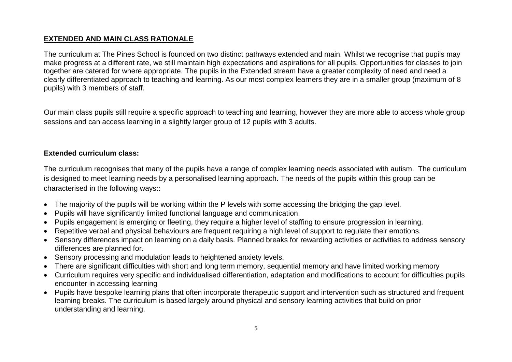## **EXTENDED AND MAIN CLASS RATIONALE**

The curriculum at The Pines School is founded on two distinct pathways extended and main. Whilst we recognise that pupils may make progress at a different rate, we still maintain high expectations and aspirations for all pupils. Opportunities for classes to join together are catered for where appropriate. The pupils in the Extended stream have a greater complexity of need and need a clearly differentiated approach to teaching and learning. As our most complex learners they are in a smaller group (maximum of 8 pupils) with 3 members of staff.

Our main class pupils still require a specific approach to teaching and learning, however they are more able to access whole group sessions and can access learning in a slightly larger group of 12 pupils with 3 adults.

#### **Extended curriculum class:**

The curriculum recognises that many of the pupils have a range of complex learning needs associated with autism. The curriculum is designed to meet learning needs by a personalised learning approach. The needs of the pupils within this group can be characterised in the following ways::

- The majority of the pupils will be working within the P levels with some accessing the bridging the gap level.
- Pupils will have significantly limited functional language and communication.
- Pupils engagement is emerging or fleeting, they require a higher level of staffing to ensure progression in learning.
- Repetitive verbal and physical behaviours are frequent requiring a high level of support to regulate their emotions.
- Sensory differences impact on learning on a daily basis. Planned breaks for rewarding activities or activities to address sensory differences are planned for.
- Sensory processing and modulation leads to heightened anxiety levels.
- There are significant difficulties with short and long term memory, sequential memory and have limited working memory
- Curriculum requires very specific and individualised differentiation, adaptation and modifications to account for difficulties pupils encounter in accessing learning
- Pupils have bespoke learning plans that often incorporate therapeutic support and intervention such as structured and frequent learning breaks. The curriculum is based largely around physical and sensory learning activities that build on prior understanding and learning.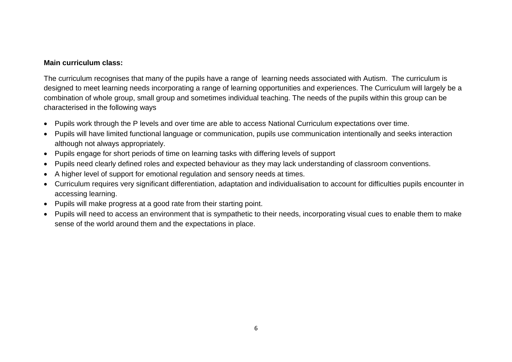#### **Main curriculum class:**

The curriculum recognises that many of the pupils have a range of learning needs associated with Autism. The curriculum is designed to meet learning needs incorporating a range of learning opportunities and experiences. The Curriculum will largely be a combination of whole group, small group and sometimes individual teaching. The needs of the pupils within this group can be characterised in the following ways

- Pupils work through the P levels and over time are able to access National Curriculum expectations over time.
- Pupils will have limited functional language or communication, pupils use communication intentionally and seeks interaction although not always appropriately.
- Pupils engage for short periods of time on learning tasks with differing levels of support
- Pupils need clearly defined roles and expected behaviour as they may lack understanding of classroom conventions.
- A higher level of support for emotional regulation and sensory needs at times.
- Curriculum requires very significant differentiation, adaptation and individualisation to account for difficulties pupils encounter in accessing learning.
- Pupils will make progress at a good rate from their starting point.
- Pupils will need to access an environment that is sympathetic to their needs, incorporating visual cues to enable them to make sense of the world around them and the expectations in place.